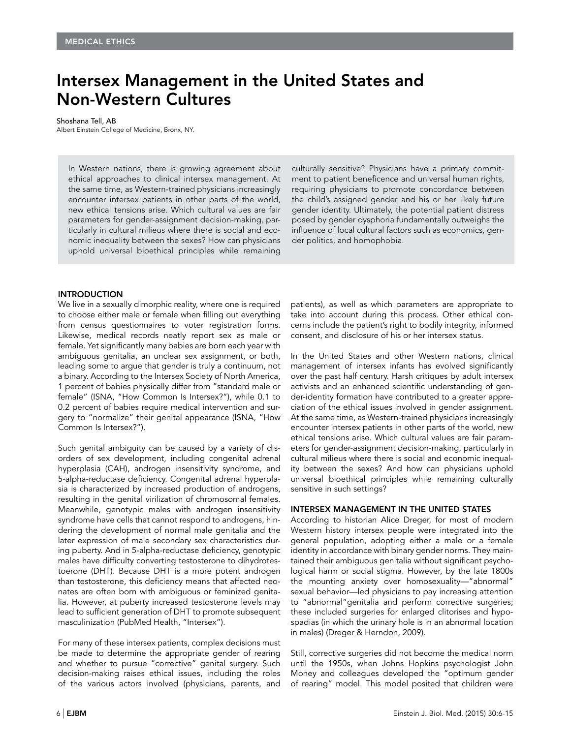# Intersex Management in the United States and Non-Western Cultures

#### Shoshana Tell, AB

Albert Einstein College of Medicine, Bronx, NY.

In Western nations, there is growing agreement about ethical approaches to clinical intersex management. At the same time, as Western-trained physicians increasingly encounter intersex patients in other parts of the world, new ethical tensions arise. Which cultural values are fair parameters for gender-assignment decision-making, particularly in cultural milieus where there is social and economic inequality between the sexes? How can physicians uphold universal bioethical principles while remaining culturally sensitive? Physicians have a primary commitment to patient beneficence and universal human rights, requiring physicians to promote concordance between the child's assigned gender and his or her likely future gender identity. Ultimately, the potential patient distress posed by gender dysphoria fundamentally outweighs the influence of local cultural factors such as economics, gender politics, and homophobia.

## **INTRODUCTION**

We live in a sexually dimorphic reality, where one is required to choose either male or female when filling out everything from census questionnaires to voter registration forms. Likewise, medical records neatly report sex as male or female. Yet significantly many babies are born each year with ambiguous genitalia, an unclear sex assignment, or both, leading some to argue that gender is truly a continuum, not a binary. According to the Intersex Society of North America, 1 percent of babies physically differ from "standard male or female" (ISNA, "How Common Is Intersex?"), while 0.1 to 0.2 percent of babies require medical intervention and surgery to "normalize" their genital appearance (ISNA, "How Common Is Intersex?").

Such genital ambiguity can be caused by a variety of disorders of sex development, including congenital adrenal hyperplasia (CAH), androgen insensitivity syndrome, and 5-alpha-reductase deficiency. Congenital adrenal hyperplasia is characterized by increased production of androgens, resulting in the genital virilization of chromosomal females. Meanwhile, genotypic males with androgen insensitivity syndrome have cells that cannot respond to androgens, hindering the development of normal male genitalia and the later expression of male secondary sex characteristics during puberty. And in 5-alpha-reductase deficiency, genotypic males have difficulty converting testosterone to dihydrotestoerone (DHT). Because DHT is a more potent androgen than testosterone, this deficiency means that affected neonates are often born with ambiguous or feminized genitalia. However, at puberty increased testosterone levels may lead to sufficient generation of DHT to promote subsequent masculinization (PubMed Health, "Intersex").

For many of these intersex patients, complex decisions must be made to determine the appropriate gender of rearing and whether to pursue "corrective" genital surgery. Such decision-making raises ethical issues, including the roles of the various actors involved (physicians, parents, and patients), as well as which parameters are appropriate to take into account during this process. Other ethical concerns include the patient's right to bodily integrity, informed consent, and disclosure of his or her intersex status.

In the United States and other Western nations, clinical management of intersex infants has evolved significantly over the past half century. Harsh critiques by adult intersex activists and an enhanced scientific understanding of gender-identity formation have contributed to a greater appreciation of the ethical issues involved in gender assignment. At the same time, as Western-trained physicians increasingly encounter intersex patients in other parts of the world, new ethical tensions arise. Which cultural values are fair parameters for gender-assignment decision-making, particularly in cultural milieus where there is social and economic inequality between the sexes? And how can physicians uphold universal bioethical principles while remaining culturally sensitive in such settings?

# INTERSEX MANAGEMENT IN THE UNITED STATES

According to historian Alice Dreger, for most of modern Western history intersex people were integrated into the general population, adopting either a male or a female identity in accordance with binary gender norms. They maintained their ambiguous genitalia without significant psychological harm or social stigma. However, by the late 1800s the mounting anxiety over homosexuality—"abnormal" sexual behavior—led physicians to pay increasing attention to "abnormal"genitalia and perform corrective surgeries; these included surgeries for enlarged clitorises and hypospadias (in which the urinary hole is in an abnormal location in males) (Dreger & Herndon, 2009).

Still, corrective surgeries did not become the medical norm until the 1950s, when Johns Hopkins psychologist John Money and colleagues developed the "optimum gender of rearing" model. This model posited that children were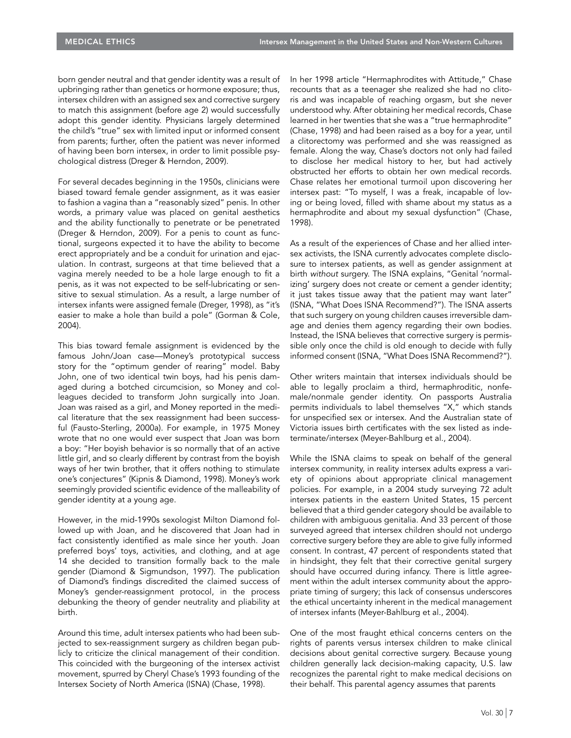born gender neutral and that gender identity was a result of upbringing rather than genetics or hormone exposure; thus, intersex children with an assigned sex and corrective surgery to match this assignment (before age 2) would successfully adopt this gender identity. Physicians largely determined the child's "true" sex with limited input or informed consent from parents; further, often the patient was never informed of having been born intersex, in order to limit possible psychological distress (Dreger & Herndon, 2009).

For several decades beginning in the 1950s, clinicians were biased toward female gender assignment, as it was easier to fashion a vagina than a "reasonably sized" penis. In other words, a primary value was placed on genital aesthetics and the ability functionally to penetrate or be penetrated (Dreger & Herndon, 2009). For a penis to count as functional, surgeons expected it to have the ability to become erect appropriately and be a conduit for urination and ejaculation. In contrast, surgeons at that time believed that a vagina merely needed to be a hole large enough to fit a penis, as it was not expected to be self-lubricating or sensitive to sexual stimulation. As a result, a large number of intersex infants were assigned female (Dreger, 1998), as "it's easier to make a hole than build a pole" (Gorman & Cole, 2004).

This bias toward female assignment is evidenced by the famous John/Joan case—Money's prototypical success story for the "optimum gender of rearing" model. Baby John, one of two identical twin boys, had his penis damaged during a botched circumcision, so Money and colleagues decided to transform John surgically into Joan. Joan was raised as a girl, and Money reported in the medical literature that the sex reassignment had been successful (Fausto-Sterling, 2000a). For example, in 1975 Money wrote that no one would ever suspect that Joan was born a boy: "Her boyish behavior is so normally that of an active little girl, and so clearly different by contrast from the boyish ways of her twin brother, that it offers nothing to stimulate one's conjectures" (Kipnis & Diamond, 1998). Money's work seemingly provided scientific evidence of the malleability of gender identity at a young age.

However, in the mid-1990s sexologist Milton Diamond followed up with Joan, and he discovered that Joan had in fact consistently identified as male since her youth. Joan preferred boys' toys, activities, and clothing, and at age 14 she decided to transition formally back to the male gender (Diamond & Sigmundson, 1997). The publication of Diamond's findings discredited the claimed success of Money's gender-reassignment protocol, in the process debunking the theory of gender neutrality and pliability at birth.

Around this time, adult intersex patients who had been subjected to sex-reassignment surgery as children began publicly to criticize the clinical management of their condition. This coincided with the burgeoning of the intersex activist movement, spurred by Cheryl Chase's 1993 founding of the Intersex Society of North America (ISNA) (Chase, 1998).

In her 1998 article "Hermaphrodites with Attitude," Chase recounts that as a teenager she realized she had no clitoris and was incapable of reaching orgasm, but she never understood why. After obtaining her medical records, Chase learned in her twenties that she was a "true hermaphrodite" (Chase, 1998) and had been raised as a boy for a year, until a clitorectomy was performed and she was reassigned as female. Along the way, Chase's doctors not only had failed to disclose her medical history to her, but had actively obstructed her efforts to obtain her own medical records. Chase relates her emotional turmoil upon discovering her intersex past: "To myself, I was a freak, incapable of loving or being loved, filled with shame about my status as a hermaphrodite and about my sexual dysfunction" (Chase, 1998).

As a result of the experiences of Chase and her allied intersex activists, the ISNA currently advocates complete disclosure to intersex patients, as well as gender assignment at birth without surgery. The ISNA explains, "Genital 'normalizing' surgery does not create or cement a gender identity; it just takes tissue away that the patient may want later" (ISNA, "What Does ISNA Recommend?"). The ISNA asserts that such surgery on young children causes irreversible damage and denies them agency regarding their own bodies. Instead, the ISNA believes that corrective surgery is permissible only once the child is old enough to decide with fully informed consent (ISNA, "What Does ISNA Recommend?").

Other writers maintain that intersex individuals should be able to legally proclaim a third, hermaphroditic, nonfemale/nonmale gender identity. On passports Australia permits individuals to label themselves "X," which stands for unspecified sex or intersex. And the Australian state of Victoria issues birth certificates with the sex listed as indeterminate/intersex (Meyer-Bahlburg et al., 2004).

While the ISNA claims to speak on behalf of the general intersex community, in reality intersex adults express a variety of opinions about appropriate clinical management policies. For example, in a 2004 study surveying 72 adult intersex patients in the eastern United States, 15 percent believed that a third gender category should be available to children with ambiguous genitalia. And 33 percent of those surveyed agreed that intersex children should not undergo corrective surgery before they are able to give fully informed consent. In contrast, 47 percent of respondents stated that in hindsight, they felt that their corrective genital surgery should have occurred during infancy. There is little agreement within the adult intersex community about the appropriate timing of surgery; this lack of consensus underscores the ethical uncertainty inherent in the medical management of intersex infants (Meyer-Bahlburg et al., 2004).

One of the most fraught ethical concerns centers on the rights of parents versus intersex children to make clinical decisions about genital corrective surgery. Because young children generally lack decision-making capacity, U.S. law recognizes the parental right to make medical decisions on their behalf. This parental agency assumes that parents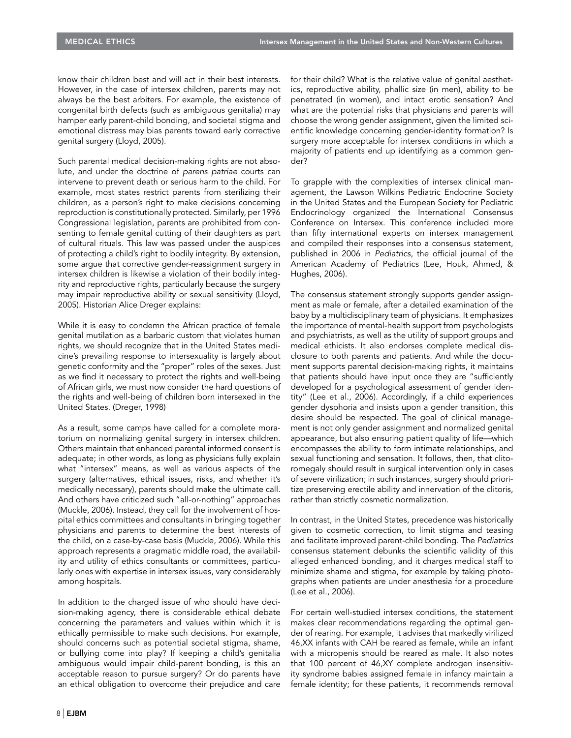know their children best and will act in their best interests. However, in the case of intersex children, parents may not always be the best arbiters. For example, the existence of congenital birth defects (such as ambiguous genitalia) may hamper early parent-child bonding, and societal stigma and emotional distress may bias parents toward early corrective genital surgery (Lloyd, 2005).

Such parental medical decision-making rights are not absolute, and under the doctrine of parens patriae courts can intervene to prevent death or serious harm to the child. For example, most states restrict parents from sterilizing their children, as a person's right to make decisions concerning reproduction is constitutionally protected. Similarly, per 1996 Congressional legislation, parents are prohibited from consenting to female genital cutting of their daughters as part of cultural rituals. This law was passed under the auspices of protecting a child's right to bodily integrity. By extension, some argue that corrective gender-reassignment surgery in intersex children is likewise a violation of their bodily integrity and reproductive rights, particularly because the surgery may impair reproductive ability or sexual sensitivity (Lloyd, 2005). Historian Alice Dreger explains:

While it is easy to condemn the African practice of female genital mutilation as a barbaric custom that violates human rights, we should recognize that in the United States medicine's prevailing response to intersexuality is largely about genetic conformity and the "proper" roles of the sexes. Just as we find it necessary to protect the rights and well-being of African girls, we must now consider the hard questions of the rights and well-being of children born intersexed in the United States. (Dreger, 1998)

As a result, some camps have called for a complete moratorium on normalizing genital surgery in intersex children. Others maintain that enhanced parental informed consent is adequate; in other words, as long as physicians fully explain what "intersex" means, as well as various aspects of the surgery (alternatives, ethical issues, risks, and whether it's medically necessary), parents should make the ultimate call. And others have criticized such "all-or-nothing" approaches (Muckle, 2006). Instead, they call for the involvement of hospital ethics committees and consultants in bringing together physicians and parents to determine the best interests of the child, on a case-by-case basis (Muckle, 2006). While this approach represents a pragmatic middle road, the availability and utility of ethics consultants or committees, particularly ones with expertise in intersex issues, vary considerably among hospitals.

In addition to the charged issue of who should have decision-making agency, there is considerable ethical debate concerning the parameters and values within which it is ethically permissible to make such decisions. For example, should concerns such as potential societal stigma, shame, or bullying come into play? If keeping a child's genitalia ambiguous would impair child-parent bonding, is this an acceptable reason to pursue surgery? Or do parents have an ethical obligation to overcome their prejudice and care for their child? What is the relative value of genital aesthetics, reproductive ability, phallic size (in men), ability to be penetrated (in women), and intact erotic sensation? And what are the potential risks that physicians and parents will choose the wrong gender assignment, given the limited scientific knowledge concerning gender-identity formation? Is surgery more acceptable for intersex conditions in which a majority of patients end up identifying as a common gender?

To grapple with the complexities of intersex clinical management, the Lawson Wilkins Pediatric Endocrine Society in the United States and the European Society for Pediatric Endocrinology organized the International Consensus Conference on Intersex. This conference included more than fifty international experts on intersex management and compiled their responses into a consensus statement, published in 2006 in Pediatrics, the official journal of the American Academy of Pediatrics (Lee, Houk, Ahmed, & Hughes, 2006).

The consensus statement strongly supports gender assignment as male or female, after a detailed examination of the baby by a multidisciplinary team of physicians. It emphasizes the importance of mental-health support from psychologists and psychiatrists, as well as the utility of support groups and medical ethicists. It also endorses complete medical disclosure to both parents and patients. And while the document supports parental decision-making rights, it maintains that patients should have input once they are "sufficiently developed for a psychological assessment of gender identity" (Lee et al., 2006). Accordingly, if a child experiences gender dysphoria and insists upon a gender transition, this desire should be respected. The goal of clinical management is not only gender assignment and normalized genital appearance, but also ensuring patient quality of life—which encompasses the ability to form intimate relationships, and sexual functioning and sensation. It follows, then, that clitoromegaly should result in surgical intervention only in cases of severe virilization; in such instances, surgery should prioritize preserving erectile ability and innervation of the clitoris, rather than strictly cosmetic normalization.

In contrast, in the United States, precedence was historically given to cosmetic correction, to limit stigma and teasing and facilitate improved parent-child bonding. The Pediatrics consensus statement debunks the scientific validity of this alleged enhanced bonding, and it charges medical staff to minimize shame and stigma, for example by taking photographs when patients are under anesthesia for a procedure (Lee et al., 2006).

For certain well-studied intersex conditions, the statement makes clear recommendations regarding the optimal gender of rearing. For example, it advises that markedly virilized 46,XX infants with CAH be reared as female, while an infant with a micropenis should be reared as male. It also notes that 100 percent of 46,XY complete androgen insensitivity syndrome babies assigned female in infancy maintain a female identity; for these patients, it recommends removal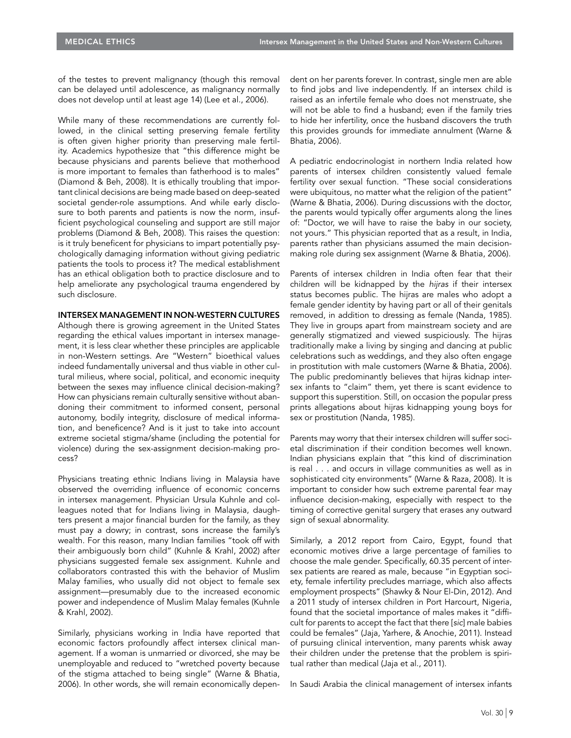of the testes to prevent malignancy (though this removal can be delayed until adolescence, as malignancy normally does not develop until at least age 14) (Lee et al., 2006).

While many of these recommendations are currently followed, in the clinical setting preserving female fertility is often given higher priority than preserving male fertility. Academics hypothesize that "this difference might be because physicians and parents believe that motherhood is more important to females than fatherhood is to males" (Diamond & Beh, 2008). It is ethically troubling that important clinical decisions are being made based on deep-seated societal gender-role assumptions. And while early disclosure to both parents and patients is now the norm, insufficient psychological counseling and support are still major problems (Diamond & Beh, 2008). This raises the question: is it truly beneficent for physicians to impart potentially psychologically damaging information without giving pediatric patients the tools to process it? The medical establishment has an ethical obligation both to practice disclosure and to help ameliorate any psychological trauma engendered by such disclosure.

### INTERSEX MANAGEMENT IN NON-WESTERN CULTURES

Although there is growing agreement in the United States regarding the ethical values important in intersex management, it is less clear whether these principles are applicable in non-Western settings. Are "Western" bioethical values indeed fundamentally universal and thus viable in other cultural milieus, where social, political, and economic inequity between the sexes may influence clinical decision-making? How can physicians remain culturally sensitive without abandoning their commitment to informed consent, personal autonomy, bodily integrity, disclosure of medical information, and beneficence? And is it just to take into account extreme societal stigma/shame (including the potential for violence) during the sex-assignment decision-making process?

Physicians treating ethnic Indians living in Malaysia have observed the overriding influence of economic concerns in intersex management. Physician Ursula Kuhnle and colleagues noted that for Indians living in Malaysia, daughters present a major financial burden for the family, as they must pay a dowry; in contrast, sons increase the family's wealth. For this reason, many Indian families "took off with their ambiguously born child" (Kuhnle & Krahl, 2002) after physicians suggested female sex assignment. Kuhnle and collaborators contrasted this with the behavior of Muslim Malay families, who usually did not object to female sex assignment—presumably due to the increased economic power and independence of Muslim Malay females (Kuhnle & Krahl, 2002).

Similarly, physicians working in India have reported that economic factors profoundly affect intersex clinical management. If a woman is unmarried or divorced, she may be unemployable and reduced to "wretched poverty because of the stigma attached to being single" (Warne & Bhatia, 2006). In other words, she will remain economically dependent on her parents forever. In contrast, single men are able to find jobs and live independently. If an intersex child is raised as an infertile female who does not menstruate, she will not be able to find a husband; even if the family tries to hide her infertility, once the husband discovers the truth this provides grounds for immediate annulment (Warne & Bhatia, 2006).

A pediatric endocrinologist in northern India related how parents of intersex children consistently valued female fertility over sexual function. "These social considerations were ubiquitous, no matter what the religion of the patient" (Warne & Bhatia, 2006). During discussions with the doctor, the parents would typically offer arguments along the lines of: "Doctor, we will have to raise the baby in our society, not yours." This physician reported that as a result, in India, parents rather than physicians assumed the main decisionmaking role during sex assignment (Warne & Bhatia, 2006).

Parents of intersex children in India often fear that their children will be kidnapped by the hijras if their intersex status becomes public. The hijras are males who adopt a female gender identity by having part or all of their genitals removed, in addition to dressing as female (Nanda, 1985). They live in groups apart from mainstream society and are generally stigmatized and viewed suspiciously. The hijras traditionally make a living by singing and dancing at public celebrations such as weddings, and they also often engage in prostitution with male customers (Warne & Bhatia, 2006). The public predominantly believes that hijras kidnap intersex infants to "claim" them, yet there is scant evidence to support this superstition. Still, on occasion the popular press prints allegations about hijras kidnapping young boys for sex or prostitution (Nanda, 1985).

Parents may worry that their intersex children will suffer societal discrimination if their condition becomes well known. Indian physicians explain that "this kind of discrimination is real . . . and occurs in village communities as well as in sophisticated city environments" (Warne & Raza, 2008). It is important to consider how such extreme parental fear may influence decision-making, especially with respect to the timing of corrective genital surgery that erases any outward sign of sexual abnormality.

Similarly, a 2012 report from Cairo, Egypt, found that economic motives drive a large percentage of families to choose the male gender. Specifically, 60.35 percent of intersex patients are reared as male, because "in Egyptian society, female infertility precludes marriage, which also affects employment prospects" (Shawky & Nour El-Din, 2012). And a 2011 study of intersex children in Port Harcourt, Nigeria, found that the societal importance of males makes it "difficult for parents to accept the fact that there [sic] male babies could be females" (Jaja, Yarhere, & Anochie, 2011). Instead of pursuing clinical intervention, many parents whisk away their children under the pretense that the problem is spiritual rather than medical (Jaja et al., 2011).

In Saudi Arabia the clinical management of intersex infants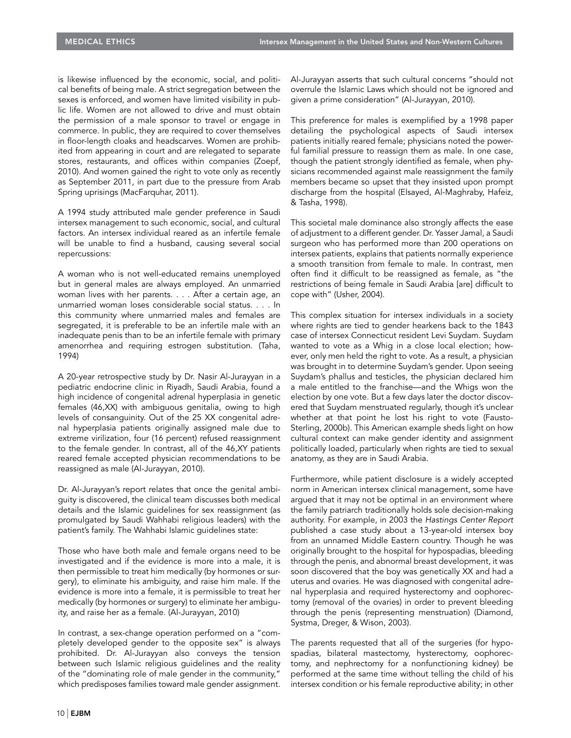is likewise influenced by the economic, social, and political benefits of being male. A strict segregation between the sexes is enforced, and women have limited visibility in public life. Women are not allowed to drive and must obtain the permission of a male sponsor to travel or engage in commerce. In public, they are required to cover themselves in floor-length cloaks and headscarves. Women are prohibited from appearing in court and are relegated to separate stores, restaurants, and offices within companies (Zoepf, 2010). And women gained the right to vote only as recently as September 2011, in part due to the pressure from Arab Spring uprisings (MacFarquhar, 2011).

A 1994 study attributed male gender preference in Saudi intersex management to such economic, social, and cultural factors. An intersex individual reared as an infertile female will be unable to find a husband, causing several social repercussions:

A woman who is not well-educated remains unemployed but in general males are always employed. An unmarried woman lives with her parents. . . . After a certain age, an unmarried woman loses considerable social status. . . . In this community where unmarried males and females are segregated, it is preferable to be an infertile male with an inadequate penis than to be an infertile female with primary amenorrhea and requiring estrogen substitution. (Taha, 1994)

A 20-year retrospective study by Dr. Nasir Al-Jurayyan in a pediatric endocrine clinic in Riyadh, Saudi Arabia, found a high incidence of congenital adrenal hyperplasia in genetic females (46,XX) with ambiguous genitalia, owing to high levels of consanguinity. Out of the 25 XX congenital adrenal hyperplasia patients originally assigned male due to extreme virilization, four (16 percent) refused reassignment to the female gender. In contrast, all of the 46,XY patients reared female accepted physician recommendations to be reassigned as male (Al-Jurayyan, 2010).

Dr. Al-Jurayyan's report relates that once the genital ambiguity is discovered, the clinical team discusses both medical details and the Islamic guidelines for sex reassignment (as promulgated by Saudi Wahhabi religious leaders) with the patient's family. The Wahhabi Islamic guidelines state:

Those who have both male and female organs need to be investigated and if the evidence is more into a male, it is then permissible to treat him medically (by hormones or surgery), to eliminate his ambiguity, and raise him male. If the evidence is more into a female, it is permissible to treat her medically (by hormones or surgery) to eliminate her ambiguity, and raise her as a female. (Al-Jurayyan, 2010)

In contrast, a sex-change operation performed on a "completely developed gender to the opposite sex" is always prohibited. Dr. Al-Jurayyan also conveys the tension between such Islamic religious guidelines and the reality of the "dominating role of male gender in the community," which predisposes families toward male gender assignment.

Al-Jurayyan asserts that such cultural concerns "should not overrule the Islamic Laws which should not be ignored and given a prime consideration" (Al-Jurayyan, 2010).

This preference for males is exemplified by a 1998 paper detailing the psychological aspects of Saudi intersex patients initially reared female; physicians noted the powerful familial pressure to reassign them as male. In one case, though the patient strongly identified as female, when physicians recommended against male reassignment the family members became so upset that they insisted upon prompt discharge from the hospital (Elsayed, Al-Maghraby, Hafeiz, & Tasha, 1998).

This societal male dominance also strongly affects the ease of adjustment to a different gender. Dr. Yasser Jamal, a Saudi surgeon who has performed more than 200 operations on intersex patients, explains that patients normally experience a smooth transition from female to male. In contrast, men often find it difficult to be reassigned as female, as "the restrictions of being female in Saudi Arabia [are] difficult to cope with" (Usher, 2004).

This complex situation for intersex individuals in a society where rights are tied to gender hearkens back to the 1843 case of intersex Connecticut resident Levi Suydam. Suydam wanted to vote as a Whig in a close local election; however, only men held the right to vote. As a result, a physician was brought in to determine Suydam's gender. Upon seeing Suydam's phallus and testicles, the physician declared him a male entitled to the franchise—and the Whigs won the election by one vote. But a few days later the doctor discovered that Suydam menstruated regularly, though it's unclear whether at that point he lost his right to vote (Fausto-Sterling, 2000b). This American example sheds light on how cultural context can make gender identity and assignment politically loaded, particularly when rights are tied to sexual anatomy, as they are in Saudi Arabia.

Furthermore, while patient disclosure is a widely accepted norm in American intersex clinical management, some have argued that it may not be optimal in an environment where the family patriarch traditionally holds sole decision-making authority. For example, in 2003 the Hastings Center Report published a case study about a 13-year-old intersex boy from an unnamed Middle Eastern country. Though he was originally brought to the hospital for hypospadias, bleeding through the penis, and abnormal breast development, it was soon discovered that the boy was genetically XX and had a uterus and ovaries. He was diagnosed with congenital adrenal hyperplasia and required hysterectomy and oophorectomy (removal of the ovaries) in order to prevent bleeding through the penis (representing menstruation) (Diamond, Systma, Dreger, & Wison, 2003).

The parents requested that all of the surgeries (for hypospadias, bilateral mastectomy, hysterectomy, oophorectomy, and nephrectomy for a nonfunctioning kidney) be performed at the same time without telling the child of his intersex condition or his female reproductive ability; in other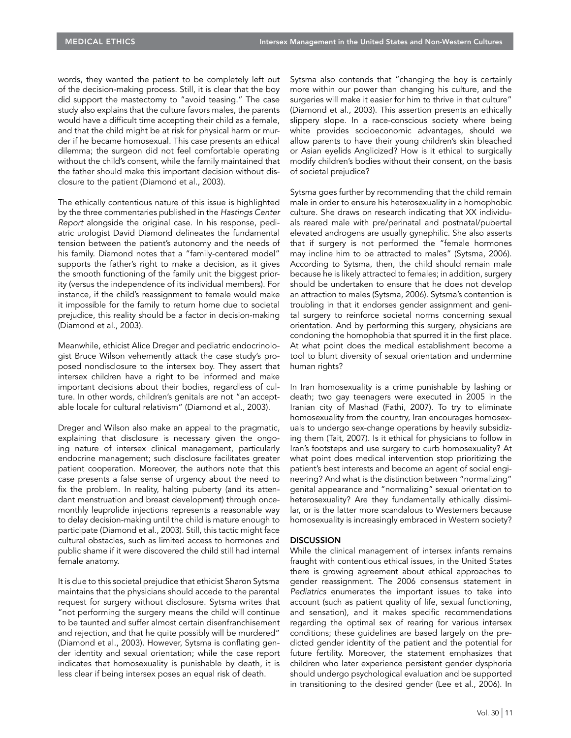words, they wanted the patient to be completely left out of the decision-making process. Still, it is clear that the boy did support the mastectomy to "avoid teasing." The case study also explains that the culture favors males, the parents would have a difficult time accepting their child as a female, and that the child might be at risk for physical harm or murder if he became homosexual. This case presents an ethical dilemma; the surgeon did not feel comfortable operating without the child's consent, while the family maintained that the father should make this important decision without disclosure to the patient (Diamond et al., 2003).

The ethically contentious nature of this issue is highlighted by the three commentaries published in the Hastings Center Report alongside the original case. In his response, pediatric urologist David Diamond delineates the fundamental tension between the patient's autonomy and the needs of his family. Diamond notes that a "family-centered model" supports the father's right to make a decision, as it gives the smooth functioning of the family unit the biggest priority (versus the independence of its individual members). For instance, if the child's reassignment to female would make it impossible for the family to return home due to societal prejudice, this reality should be a factor in decision-making (Diamond et al., 2003).

Meanwhile, ethicist Alice Dreger and pediatric endocrinologist Bruce Wilson vehemently attack the case study's proposed nondisclosure to the intersex boy. They assert that intersex children have a right to be informed and make important decisions about their bodies, regardless of culture. In other words, children's genitals are not "an acceptable locale for cultural relativism" (Diamond et al., 2003).

Dreger and Wilson also make an appeal to the pragmatic, explaining that disclosure is necessary given the ongoing nature of intersex clinical management, particularly endocrine management; such disclosure facilitates greater patient cooperation. Moreover, the authors note that this case presents a false sense of urgency about the need to fix the problem. In reality, halting puberty (and its attendant menstruation and breast development) through oncemonthly leuprolide injections represents a reasonable way to delay decision-making until the child is mature enough to participate (Diamond et al., 2003). Still, this tactic might face cultural obstacles, such as limited access to hormones and public shame if it were discovered the child still had internal female anatomy.

It is due to this societal prejudice that ethicist Sharon Sytsma maintains that the physicians should accede to the parental request for surgery without disclosure. Sytsma writes that "not performing the surgery means the child will continue to be taunted and suffer almost certain disenfranchisement and rejection, and that he quite possibly will be murdered" (Diamond et al., 2003). However, Sytsma is conflating gender identity and sexual orientation; while the case report indicates that homosexuality is punishable by death, it is less clear if being intersex poses an equal risk of death.

Sytsma also contends that "changing the boy is certainly more within our power than changing his culture, and the surgeries will make it easier for him to thrive in that culture" (Diamond et al., 2003). This assertion presents an ethically slippery slope. In a race-conscious society where being white provides socioeconomic advantages, should we allow parents to have their young children's skin bleached or Asian eyelids Anglicized? How is it ethical to surgically modify children's bodies without their consent, on the basis of societal prejudice?

Sytsma goes further by recommending that the child remain male in order to ensure his heterosexuality in a homophobic culture. She draws on research indicating that XX individuals reared male with pre/perinatal and postnatal/pubertal elevated androgens are usually gynephilic. She also asserts that if surgery is not performed the "female hormones may incline him to be attracted to males" (Sytsma, 2006). According to Sytsma, then, the child should remain male because he is likely attracted to females; in addition, surgery should be undertaken to ensure that he does not develop an attraction to males (Sytsma, 2006). Sytsma's contention is troubling in that it endorses gender assignment and genital surgery to reinforce societal norms concerning sexual orientation. And by performing this surgery, physicians are condoning the homophobia that spurred it in the first place. At what point does the medical establishment become a tool to blunt diversity of sexual orientation and undermine human rights?

In Iran homosexuality is a crime punishable by lashing or death; two gay teenagers were executed in 2005 in the Iranian city of Mashad (Fathi, 2007). To try to eliminate homosexuality from the country, Iran encourages homosexuals to undergo sex-change operations by heavily subsidizing them (Tait, 2007). Is it ethical for physicians to follow in Iran's footsteps and use surgery to curb homosexuality? At what point does medical intervention stop prioritizing the patient's best interests and become an agent of social engineering? And what is the distinction between "normalizing" genital appearance and "normalizing" sexual orientation to heterosexuality? Are they fundamentally ethically dissimilar, or is the latter more scandalous to Westerners because homosexuality is increasingly embraced in Western society?

#### **DISCUSSION**

While the clinical management of intersex infants remains fraught with contentious ethical issues, in the United States there is growing agreement about ethical approaches to gender reassignment. The 2006 consensus statement in Pediatrics enumerates the important issues to take into account (such as patient quality of life, sexual functioning, and sensation), and it makes specific recommendations regarding the optimal sex of rearing for various intersex conditions; these guidelines are based largely on the predicted gender identity of the patient and the potential for future fertility. Moreover, the statement emphasizes that children who later experience persistent gender dysphoria should undergo psychological evaluation and be supported in transitioning to the desired gender (Lee et al., 2006). In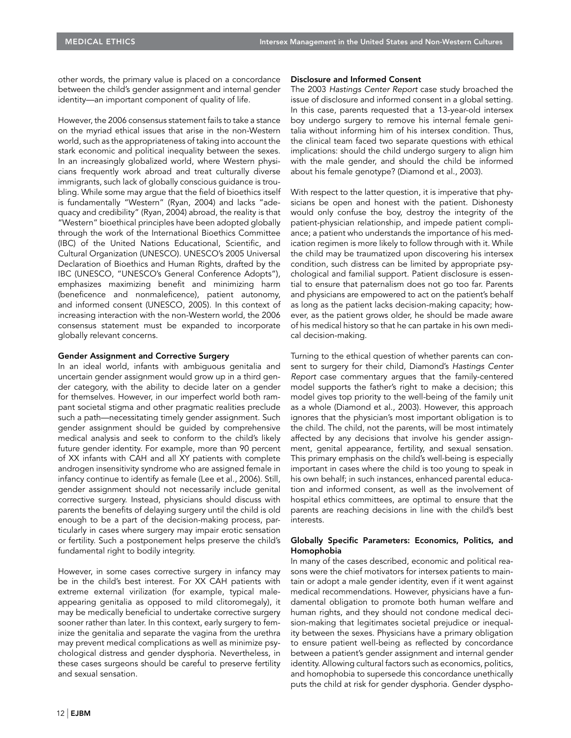other words, the primary value is placed on a concordance between the child's gender assignment and internal gender identity—an important component of quality of life.

However, the 2006 consensus statement fails to take a stance on the myriad ethical issues that arise in the non-Western world, such as the appropriateness of taking into account the stark economic and political inequality between the sexes. In an increasingly globalized world, where Western physicians frequently work abroad and treat culturally diverse immigrants, such lack of globally conscious guidance is troubling. While some may argue that the field of bioethics itself is fundamentally "Western" (Ryan, 2004) and lacks "adequacy and credibility" (Ryan, 2004) abroad, the reality is that "Western" bioethical principles have been adopted globally through the work of the International Bioethics Committee (IBC) of the United Nations Educational, Scientific, and Cultural Organization (UNESCO). UNESCO's 2005 Universal Declaration of Bioethics and Human Rights, drafted by the IBC (UNESCO, "UNESCO's General Conference Adopts"), emphasizes maximizing benefit and minimizing harm (beneficence and nonmaleficence), patient autonomy, and informed consent (UNESCO, 2005). In this context of increasing interaction with the non-Western world, the 2006 consensus statement must be expanded to incorporate globally relevant concerns.

# Gender Assignment and Corrective Surgery

In an ideal world, infants with ambiguous genitalia and uncertain gender assignment would grow up in a third gender category, with the ability to decide later on a gender for themselves. However, in our imperfect world both rampant societal stigma and other pragmatic realities preclude such a path—necessitating timely gender assignment. Such gender assignment should be guided by comprehensive medical analysis and seek to conform to the child's likely future gender identity. For example, more than 90 percent of XX infants with CAH and all XY patients with complete androgen insensitivity syndrome who are assigned female in infancy continue to identify as female (Lee et al., 2006). Still, gender assignment should not necessarily include genital corrective surgery. Instead, physicians should discuss with parents the benefits of delaying surgery until the child is old enough to be a part of the decision-making process, particularly in cases where surgery may impair erotic sensation or fertility. Such a postponement helps preserve the child's fundamental right to bodily integrity.

However, in some cases corrective surgery in infancy may be in the child's best interest. For XX CAH patients with extreme external virilization (for example, typical maleappearing genitalia as opposed to mild clitoromegaly), it may be medically beneficial to undertake corrective surgery sooner rather than later. In this context, early surgery to feminize the genitalia and separate the vagina from the urethra may prevent medical complications as well as minimize psychological distress and gender dysphoria. Nevertheless, in these cases surgeons should be careful to preserve fertility and sexual sensation.

#### Disclosure and Informed Consent

The 2003 Hastings Center Report case study broached the issue of disclosure and informed consent in a global setting. In this case, parents requested that a 13-year-old intersex boy undergo surgery to remove his internal female genitalia without informing him of his intersex condition. Thus, the clinical team faced two separate questions with ethical implications: should the child undergo surgery to align him with the male gender, and should the child be informed about his female genotype? (Diamond et al., 2003).

With respect to the latter question, it is imperative that physicians be open and honest with the patient. Dishonesty would only confuse the boy, destroy the integrity of the patient-physician relationship, and impede patient compliance; a patient who understands the importance of his medication regimen is more likely to follow through with it. While the child may be traumatized upon discovering his intersex condition, such distress can be limited by appropriate psychological and familial support. Patient disclosure is essential to ensure that paternalism does not go too far. Parents and physicians are empowered to act on the patient's behalf as long as the patient lacks decision-making capacity; however, as the patient grows older, he should be made aware of his medical history so that he can partake in his own medical decision-making.

Turning to the ethical question of whether parents can consent to surgery for their child, Diamond's Hastings Center Report case commentary argues that the family-centered model supports the father's right to make a decision; this model gives top priority to the well-being of the family unit as a whole (Diamond et al., 2003). However, this approach ignores that the physician's most important obligation is to the child. The child, not the parents, will be most intimately affected by any decisions that involve his gender assignment, genital appearance, fertility, and sexual sensation. This primary emphasis on the child's well-being is especially important in cases where the child is too young to speak in his own behalf; in such instances, enhanced parental education and informed consent, as well as the involvement of hospital ethics committees, are optimal to ensure that the parents are reaching decisions in line with the child's best interests.

# Globally Specific Parameters: Economics, Politics, and Homophobia

In many of the cases described, economic and political reasons were the chief motivators for intersex patients to maintain or adopt a male gender identity, even if it went against medical recommendations. However, physicians have a fundamental obligation to promote both human welfare and human rights, and they should not condone medical decision-making that legitimates societal prejudice or inequality between the sexes. Physicians have a primary obligation to ensure patient well-being as reflected by concordance between a patient's gender assignment and internal gender identity. Allowing cultural factors such as economics, politics, and homophobia to supersede this concordance unethically puts the child at risk for gender dysphoria. Gender dyspho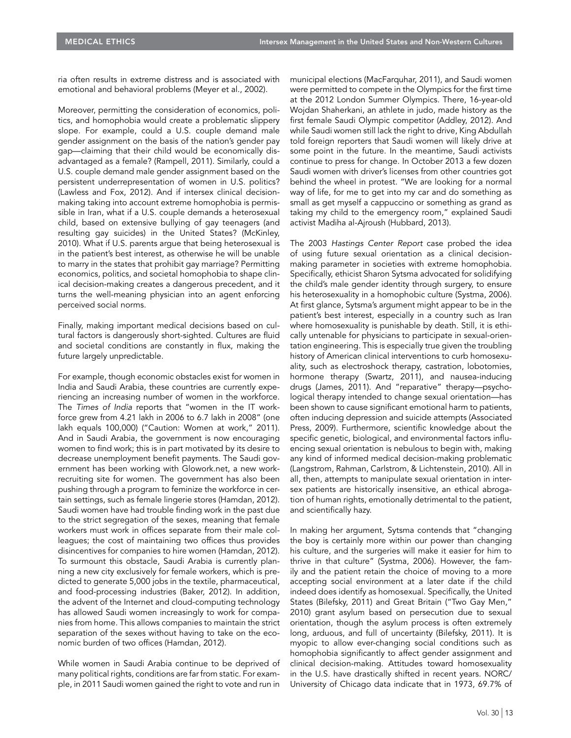ria often results in extreme distress and is associated with emotional and behavioral problems (Meyer et al., 2002).

Moreover, permitting the consideration of economics, politics, and homophobia would create a problematic slippery slope. For example, could a U.S. couple demand male gender assignment on the basis of the nation's gender pay gap—claiming that their child would be economically disadvantaged as a female? (Rampell, 2011). Similarly, could a U.S. couple demand male gender assignment based on the persistent underrepresentation of women in U.S. politics? (Lawless and Fox, 2012). And if intersex clinical decisionmaking taking into account extreme homophobia is permissible in Iran, what if a U.S. couple demands a heterosexual child, based on extensive bullying of gay teenagers (and resulting gay suicides) in the United States? (McKinley, 2010). What if U.S. parents argue that being heterosexual is in the patient's best interest, as otherwise he will be unable to marry in the states that prohibit gay marriage? Permitting economics, politics, and societal homophobia to shape clinical decision-making creates a dangerous precedent, and it turns the well-meaning physician into an agent enforcing perceived social norms.

Finally, making important medical decisions based on cultural factors is dangerously short-sighted. Cultures are fluid and societal conditions are constantly in flux, making the future largely unpredictable.

For example, though economic obstacles exist for women in India and Saudi Arabia, these countries are currently experiencing an increasing number of women in the workforce. The Times of India reports that "women in the IT workforce grew from 4.21 lakh in 2006 to 6.7 lakh in 2008" (one lakh equals 100,000) ("Caution: Women at work," 2011). And in Saudi Arabia, the government is now encouraging women to find work; this is in part motivated by its desire to decrease unemployment benefit payments. The Saudi government has been working with Glowork.net, a new workrecruiting site for women. The government has also been pushing through a program to feminize the workforce in certain settings, such as female lingerie stores (Hamdan, 2012). Saudi women have had trouble finding work in the past due to the strict segregation of the sexes, meaning that female workers must work in offices separate from their male colleagues; the cost of maintaining two offices thus provides disincentives for companies to hire women (Hamdan, 2012). To surmount this obstacle, Saudi Arabia is currently planning a new city exclusively for female workers, which is predicted to generate 5,000 jobs in the textile, pharmaceutical, and food-processing industries (Baker, 2012). In addition, the advent of the Internet and cloud-computing technology has allowed Saudi women increasingly to work for companies from home. This allows companies to maintain the strict separation of the sexes without having to take on the economic burden of two offices (Hamdan, 2012).

While women in Saudi Arabia continue to be deprived of many political rights, conditions are far from static. For example, in 2011 Saudi women gained the right to vote and run in

municipal elections (MacFarquhar, 2011), and Saudi women were permitted to compete in the Olympics for the first time at the 2012 London Summer Olympics. There, 16-year-old Wojdan Shaherkani, an athlete in judo, made history as the first female Saudi Olympic competitor (Addley, 2012). And while Saudi women still lack the right to drive, King Abdullah told foreign reporters that Saudi women will likely drive at some point in the future. In the meantime, Saudi activists continue to press for change. In October 2013 a few dozen Saudi women with driver's licenses from other countries got behind the wheel in protest. "We are looking for a normal way of life, for me to get into my car and do something as small as get myself a cappuccino or something as grand as taking my child to the emergency room," explained Saudi activist Madiha al-Ajroush (Hubbard, 2013).

The 2003 Hastings Center Report case probed the idea of using future sexual orientation as a clinical decisionmaking parameter in societies with extreme homophobia. Specifically, ethicist Sharon Sytsma advocated for solidifying the child's male gender identity through surgery, to ensure his heterosexuality in a homophobic culture (Systma, 2006). At first glance, Sytsma's argument might appear to be in the patient's best interest, especially in a country such as Iran where homosexuality is punishable by death. Still, it is ethically untenable for physicians to participate in sexual-orientation engineering. This is especially true given the troubling history of American clinical interventions to curb homosexuality, such as electroshock therapy, castration, lobotomies, hormone therapy (Swartz, 2011), and nausea-inducing drugs (James, 2011). And "reparative" therapy—psychological therapy intended to change sexual orientation—has been shown to cause significant emotional harm to patients, often inducing depression and suicide attempts (Associated Press, 2009). Furthermore, scientific knowledge about the specific genetic, biological, and environmental factors influencing sexual orientation is nebulous to begin with, making any kind of informed medical decision-making problematic (Langstrom, Rahman, Carlstrom, & Lichtenstein, 2010). All in all, then, attempts to manipulate sexual orientation in intersex patients are historically insensitive, an ethical abrogation of human rights, emotionally detrimental to the patient, and scientifically hazy.

In making her argument, Sytsma contends that "changing the boy is certainly more within our power than changing his culture, and the surgeries will make it easier for him to thrive in that culture" (Systma, 2006). However, the family and the patient retain the choice of moving to a more accepting social environment at a later date if the child indeed does identify as homosexual. Specifically, the United States (Bilefsky, 2011) and Great Britain ("Two Gay Men," 2010) grant asylum based on persecution due to sexual orientation, though the asylum process is often extremely long, arduous, and full of uncertainty (Bilefsky, 2011). It is myopic to allow ever-changing social conditions such as homophobia significantly to affect gender assignment and clinical decision-making. Attitudes toward homosexuality in the U.S. have drastically shifted in recent years. NORC/ University of Chicago data indicate that in 1973, 69.7% of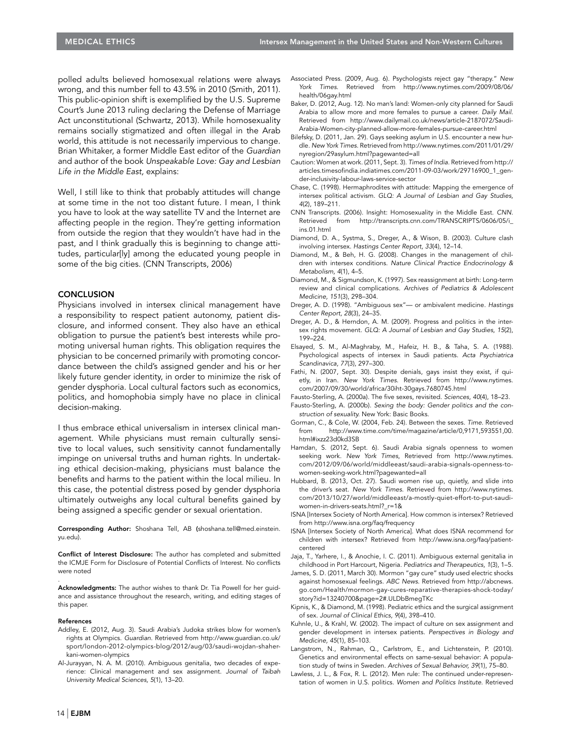polled adults believed homosexual relations were always wrong, and this number fell to 43.5% in 2010 (Smith, 2011). This public-opinion shift is exemplified by the U.S. Supreme Court's June 2013 ruling declaring the Defense of Marriage Act unconstitutional (Schwartz, 2013). While homosexuality remains socially stigmatized and often illegal in the Arab world, this attitude is not necessarily impervious to change. Brian Whitaker, a former Middle East editor of the Guardian and author of the book Unspeakable Love: Gay and Lesbian Life in the Middle East, explains:

Well, I still like to think that probably attitudes will change at some time in the not too distant future. I mean, I think you have to look at the way satellite TV and the Internet are affecting people in the region. They're getting information from outside the region that they wouldn't have had in the past, and I think gradually this is beginning to change attitudes, particular[ly] among the educated young people in some of the big cities. (CNN Transcripts, 2006)

#### **CONCLUSION**

Physicians involved in intersex clinical management have a responsibility to respect patient autonomy, patient disclosure, and informed consent. They also have an ethical obligation to pursue the patient's best interests while promoting universal human rights. This obligation requires the physician to be concerned primarily with promoting concordance between the child's assigned gender and his or her likely future gender identity, in order to minimize the risk of gender dysphoria. Local cultural factors such as economics, politics, and homophobia simply have no place in clinical decision-making.

I thus embrace ethical universalism in intersex clinical management. While physicians must remain culturally sensitive to local values, such sensitivity cannot fundamentally impinge on universal truths and human rights. In undertaking ethical decision-making, physicians must balance the benefits and harms to the patient within the local milieu. In this case, the potential distress posed by gender dysphoria ultimately outweighs any local cultural benefits gained by being assigned a specific gender or sexual orientation.

Corresponding Author: Shoshana Tell, AB (shoshana.tell@med.einstein. yu.edu).

Conflict of Interest Disclosure: The author has completed and submitted the ICMJE Form for Disclosure of Potential Conflicts of Interest. No conflicts were noted

Acknowledgments: The author wishes to thank Dr. Tia Powell for her guidance and assistance throughout the research, writing, and editing stages of this paper.

#### References

.

- Addley, E. (2012, Aug. 3). Saudi Arabia's Judoka strikes blow for women's rights at Olympics. Guardian. Retrieved from http://www.guardian.co.uk/ sport/london-2012-olympics-blog/2012/aug/03/saudi-wojdan-shaherkani-women-olympics
- Al-Jurayyan, N. A. M. (2010). Ambiguous genitalia, two decades of experience: Clinical management and sex assignment. Journal of Taibah University Medical Sciences, 5(1), 13–20.
- Associated Press. (2009, Aug. 6). Psychologists reject gay "therapy." New York Times. Retrieved from http://www.nytimes.com/2009/08/06/ health/06gay.html
- Baker, D. (2012, Aug. 12). No man's land: Women-only city planned for Saudi Arabia to allow more and more females to pursue a career. Daily Mail. Retrieved from http://www.dailymail.co.uk/news/article-2187072/Saudi-Arabia-Women-city-planned-allow-more-females-pursue-career.html
- Bilefsky, D. (2011, Jan. 29). Gays seeking asylum in U.S. encounter a new hurdle. New York Times. Retrieved from http://www.nytimes.com/2011/01/29/ nyregion/29asylum.html?pagewanted=all
- Caution: Women at work. (2011, Sept. 3). Times of India. Retrieved from http:// articles.timesofindia.indiatimes.com/2011-09-03/work/29716900\_1\_gender-inclusivity-labour-laws-service-sector
- Chase, C. (1998). Hermaphrodites with attitude: Mapping the emergence of intersex political activism. GLQ: A Journal of Lesbian and Gay Studies, 4(2), 189–211.
- CNN Transcripts. (2006). Insight: Homosexuality in the Middle East. CNN. Retrieved from http://transcripts.cnn.com/TRANSCRIPTS/0606/05/i\_ ins.01.html
- Diamond, D. A., Systma, S., Dreger, A., & Wison, B. (2003). Culture clash involving intersex. Hastings Center Report, 33(4), 12–14.
- Diamond, M., & Beh, H. G. (2008). Changes in the management of children with intersex conditions. Nature Clinical Practice Endocrinology & Metabolism, 4(1), 4–5.
- Diamond, M., & Sigmundson, K. (1997). Sex reassignment at birth: Long-term review and clinical complications. Archives of Pediatrics & Adolescent Medicine, 151(3), 298–304.
- Dreger, A. D. (1998). "Ambiguous sex"— or ambivalent medicine. Hastings Center Report, 28(3), 24–35.
- Dreger, A. D., & Herndon, A. M. (2009). Progress and politics in the intersex rights movement. GLQ: A Journal of Lesbian and Gay Studies, 15(2), 199–224.
- Elsayed, S. M., Al-Maghraby, M., Hafeiz, H. B., & Taha, S. A. (1988). Psychological aspects of intersex in Saudi patients. Acta Psychiatrica Scandinavica, 77(3), 297–300.
- Fathi, N. (2007, Sept. 30). Despite denials, gays insist they exist, if quietly, in Iran. New York Times. Retrieved from http://www.nytimes. com/2007/09/30/world/africa/30iht-30gays.7680745.html
- Fausto-Sterling, A. (2000a). The five sexes, revisited. Sciences, 40(4), 18–23. Fausto-Sterling, A. (2000b). Sexing the body: Gender politics and the construction of sexuality. New York: Basic Books.
- Gorman, C., & Cole, W. (2004, Feb. 24). Between the sexes. Time. Retrieved from http://www.time.com/time/magazine/article/0,9171,593551,00. html#ixzz23d0kd3SB
- Hamdan, S. (2012, Sept. 6). Saudi Arabia signals openness to women seeking work. New York Times, Retrieved from http://www.nytimes. com/2012/09/06/world/middleeast/saudi-arabia-signals-openness-towomen-seeking-work.html?pagewanted=all
- Hubbard, B. (2013, Oct. 27). Saudi women rise up, quietly, and slide into the driver's seat. New York Times. Retrieved from http://www.nytimes. com/2013/10/27/world/middleeast/a-mostly-quiet-effort-to-put-saudiwomen-in-drivers-seats.html?\_r=1&
- ISNA [Intersex Society of North America]. How common is intersex? Retrieved from http://www.isna.org/faq/frequency
- ISNA [Intersex Society of North America]. What does ISNA recommend for children with intersex? Retrieved from http://www.isna.org/faq/patientcentered
- Jaja, T., Yarhere, I., & Anochie, I. C. (2011). Ambiguous external genitalia in childhood in Port Harcourt, Nigeria. Pediatrics and Therapeutics, 1(3), 1–5.
- James, S. D. (2011, March 30). Mormon "gay cure" study used electric shocks against homosexual feelings. ABC News. Retrieved from http://abcnews. go.com/Health/mormon-gay-cures-reparative-therapies-shock-today/ story?id=13240700&page=2#.ULDbBmegTKc
- Kipnis, K., & Diamond, M. (1998). Pediatric ethics and the surgical assignment of sex. Journal of Clinical Ethics, 9(4), 398–410.
- Kuhnle, U., & Krahl, W. (2002). The impact of culture on sex assignment and gender development in intersex patients. Perspectives in Biology and Medicine, 45(1), 85–103.
- Langstrom, N., Rahman, Q., Carlstrom, E., and Lichtenstein, P. (2010). Genetics and environmental effects on same-sexual behavior: A population study of twins in Sweden. Archives of Sexual Behavior, 39(1), 75–80.
- Lawless, J. L., & Fox, R. L. (2012). Men rule: The continued under-representation of women in U.S. politics. Women and Politics Institute. Retrieved